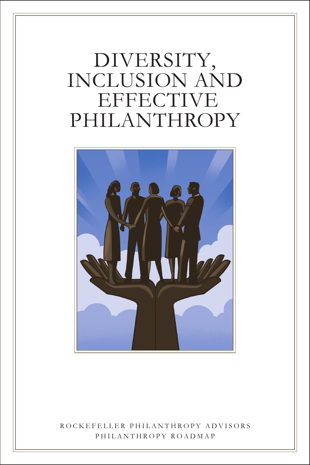# DIVERSITY, INCLUSION AND EFFECTIVE PHILANTHROPY



## ROCKEFELLER PHILANTHROPY ADVISORS PHILANTHROPY ROADMAP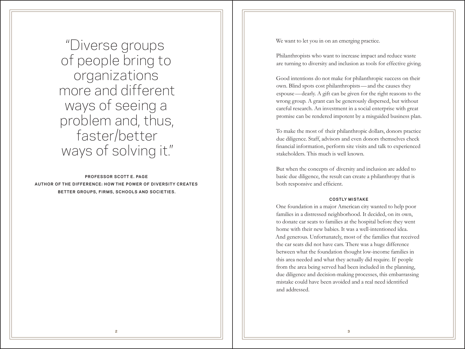"Diverse groups of people bring to organizations more and different ways of seeing a problem and, thus, faster/better ways of solving it."

## **PROFESSOR SCOTT E. PAGE AUTHOR OF THE DIFFERENCE: HOW THE POWER OF DIVERSITY CREATES BETTER GROUPS, FIRMS, SCHOOLS AND SOCIETIES.**

We want to let you in on an emerging practice.

Philanthropists who want to increase impact and reduce waste are turning to diversity and inclusion as tools for effective giving.

Good intentions do not make for philanthropic success on their own. Blind spots cost philanthropists—and the causes they espouse—dearly. A gift can be given for the right reasons to the wrong group. A grant can be generously dispersed, but without careful research. An investment in a social enterprise with great promise can be rendered impotent by a misguided business plan.

To make the most of their philanthropic dollars, donors practice due diligence. Staff, advisors and even donors themselves check financial information, perform site visits and talk to experienced stakeholders. This much is well known.

But when the concepts of diversity and inclusion are added to basic due diligence, the result can create a philanthropy that is both responsive and efficient.

#### **COSTLY MISTAKE**

One foundation in a major American city wanted to help poor families in a distressed neighborhood. It decided, on its own, to donate car seats to families at the hospital before they went home with their new babies. It was a well-intentioned idea. And generous. Unfortunately, most of the families that received the car seats did not have cars. There was a huge difference between what the foundation thought low-income families in this area needed and what they actually did require. If people from the area being served had been included in the planning, due diligence and decision-making processes, this embarrassing mistake could have been avoided and a real need identified and addressed.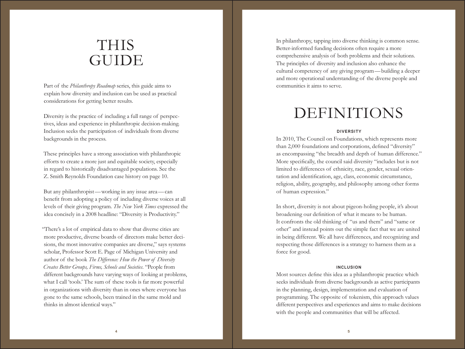## THIS GUIDE

Part of the *Philanthropy Roadmap* series, this guide aims to explain how diversity and inclusion can be used as practical considerations for getting better results.

Diversity is the practice of including a full range of perspectives, ideas and experience in philanthropic decision-making. Inclusion seeks the participation of individuals from diverse backgrounds in the process.

These principles have a strong association with philanthropic efforts to create a more just and equitable society, especially in regard to historically disadvantaged populations. See the Z. Smith Reynolds Foundation case history on page 10.

But any philanthropist—working in any issue area—can benefit from adopting a policy of including diverse voices at all levels of their giving program. *The New York Times* expressed the idea concisely in a 2008 headline: "Diversity is Productivity."

"There's a lot of empirical data to show that diverse cities are more productive, diverse boards of directors make better decisions, the most innovative companies are diverse," says systems scholar, Professor Scott E. Page of Michigan University and author of the book *The Difference: How the Power of Diversity Creates Better Groups, Firms, Schools and Societies*. "People from different backgrounds have varying ways of looking at problems, what I call 'tools.' The sum of these tools is far more powerful in organizations with diversity than in ones where everyone has gone to the same schools, been trained in the same mold and thinks in almost identical ways."

In philanthropy, tapping into diverse thinking is common sense. Better-informed funding decisions often require a more comprehensive analysis of both problems and their solutions. The principles of diversity and inclusion also enhance the cultural competency of any giving program—building a deeper and more operational understanding of the diverse people and communities it aims to serve.

## DEFINITIONS

#### **DIVERSITY**

In 2010, The Council on Foundations, which represents more than 2,000 foundations and corporations, defined "diversity" as encompassing "the breadth and depth of human difference." More specifically, the council said diversity "includes but is not limited to differences of ethnicity, race, gender, sexual orientation and identification, age, class, economic circumstance, religion, ability, geography, and philosophy among other forms of human expression."

In short, diversity is not about pigeon-holing people, it's about broadening our definition of what it means to be human. It confronts the old thinking of "us and them" and "same or other" and instead points out the simple fact that we are united in being different. We all have differences, and recognizing and respecting those differences is a strategy to harness them as a force for good.

#### **INCLUSION**

Most sources define this idea as a philanthropic practice which seeks individuals from diverse backgrounds as active participants in the planning, design, implementation and evaluation of programming. The opposite of tokenism, this approach values different perspectives and experiences and aims to make decisions with the people and communities that will be affected.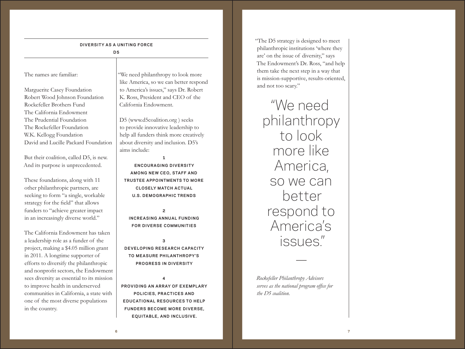#### **DIVERSITY AS A UNITING FORCE**

**D5**

### The names are familiar:

Marguerite Casey Foundation Robert Wood Johnson Foundation Rockefeller Brothers Fund The California Endowment The Prudential Foundation The Rockefeller Foundation W.K. Kellogg Foundation David and Lucille Packard Foundation

But their coalition, called D5, is new. And its purpose is unprecedented.

These foundations, along with 11 other philanthropic partners, are seeking to form "a single, workable strategy for the field" that allows funders to "achieve greater impact in an increasingly diverse world."

The California Endowment has taken a leadership role as a funder of the project, making a \$4.05 million grant in 2011. A longtime supporter of efforts to diversify the philanthropic and nonprofit sectors, the Endowment sees diversity as essential to its mission to improve health in underserved communities in California, a state with one of the most diverse populations in the country.

"We need philanthropy to look more like America, so we can better respond to America's issues," says Dr. Robert K. Ross, President and CEO of the California Endowment.

D5 (www.d5coalition.org ) seeks to provide innovative leadership to help all funders think more creatively about diversity and inclusion. D5's aims include:

**1 ENCOURAGING DIVERSITY AMONG NEW CEO, STAFF AND TRUSTEE APPOINTMENTS TO MORE CLOSELY MATCH ACTUAL U.S. DEMOGRAPHIC TRENDS**

## **2 INCREASING ANNUAL FUNDING FOR DIVERSE COMMUNITIES**

## **3 DEVELOPING RESEARCH CAPACITY TO MEASURE PHILANTHROPY'S PROGRESS IN DIVERSITY**

**4 PROVIDING AN ARRAY OF EXEMPLARY POLICIES, PRACTICES AND EDUCATIONAL RESOURCES TO HELP FUNDERS BECOME MORE DIVERSE, EQUITABLE, AND INCLUSIVE.**

"The D5 strategy is designed to meet philanthropic institutions 'where they are' on the issue of diversity," says The Endowment's Dr. Ross, "and help them take the next step in a way that is mission-supportive, results-oriented, and not too scary."

"We need philanthropy to look more like America, so we can better respond to America's issues."

*Rockefeller Philanthropy Advisors serves as the national program office for the D5 coalition.*

—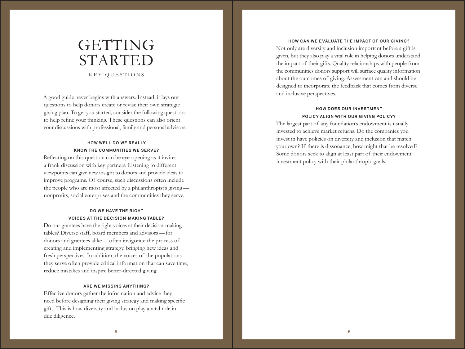## GETTING STARTED KEY OUESTIONS

A good guide never begins with answers. Instead, it lays out questions to help donors create or revise their own strategic giving plan. To get you started, consider the following questions to help refine your thinking. These questions can also orient your discussions with professional, family and personal advisors.

## **HOW WELL DO WE REALLY KNOW THE COMMUNITIES WE SERVE?**

Reflecting on this question can be eye-opening as it invites a frank discussion with key partners. Listening to different viewpoints can give new insight to donors and provide ideas to improve programs. Of course, such discussions often include the people who are most affected by a philanthropist's giving nonprofits, social enterprises and the communities they serve.

## **DO WE HAVE THE RIGHT VOICES AT THE DECISION-MAKING TABLE?**

Do our grantees have the right voices at their decision-making tables? Diverse staff, board members and advisors—for donors and grantees alike—often invigorate the process of creating and implementing strategy, bringing new ideas and fresh perspectives. In addition, the voices of the populations they serve often provide critical information that can save time, reduce mistakes and inspire better-directed giving.

#### **ARE WE MISSING ANYTHING?**

Effective donors gather the information and advice they need before designing their giving strategy and making specific gifts. This is how diversity and inclusion play a vital role in due diligence.

#### **HOW CAN WE EVALUATE THE IMPACT OF OUR GIVING?**

Not only are diversity and inclusion important before a gift is given, but they also play a vital role in helping donors understand the impact of their gifts. Quality relationships with people from the communities donors support will surface quality information about the outcomes of giving. Assessment can and should be designed to incorporate the feedback that comes from diverse and inclusive perspectives.

#### **HOW DOES OUR INVESTMENT POLICY ALIGN WITH OUR GIVING POLICY?**

The largest part of any foundation's endowment is usually invested to achieve market returns. Do the companies you invest in have policies on diversity and inclusion that match your own? If there is dissonance, how might that be resolved? Some donors seek to align at least part of their endowment investment policy with their philanthropic goals.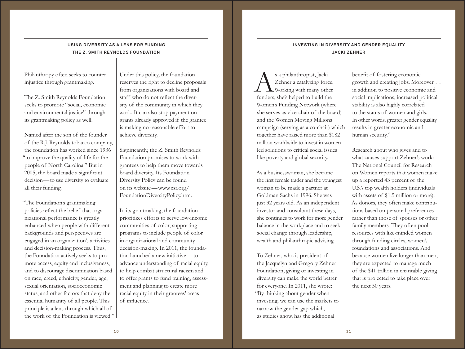### **USING DIVERSITY AS A LENS FOR FUNDING THE Z. SMITH REYNOLDS FOUNDATION**

Philanthropy often seeks to counter injustice through grantmaking.

The Z. Smith Reynolds Foundation seeks to promote "social, economic and environmental justice" through its grantmaking policy as well.

Named after the son of the founder of the R.J. Reynolds tobacco company, the foundation has worked since 1936 "to improve the quality of life for the people of North Carolina." But in 2005, the board made a significant decision—to use diversity to evaluate all their funding.

"The Foundation's grantmaking policies reflect the belief that organizational performance is greatly enhanced when people with different backgrounds and perspectives are engaged in an organization's activities and decision-making process. Thus, the Foundation actively seeks to promote access, equity and inclusiveness, and to discourage discrimination based on race, creed, ethnicity, gender, age, sexual orientation, socioeconomic status, and other factors that deny the essential humanity of all people. This principle is a lens through which all of the work of the Foundation is viewed." Under this policy, the foundation reserves the right to decline proposals from organizations with board and staff who do not reflect the diversity of the community in which they work. It can also stop payment on grants already approved if the grantee is making no reasonable effort to achieve diversity.

Significantly, the Z. Smith Reynolds Foundation promises to work with grantees to help them move towards board diversity. Its Foundation Diversity Policy can be found on its website—www.zsr.org/ FoundationDiversityPolicy.htm.

In its grantmaking, the foundation prioritizes efforts to serve low-income communities of color, supporting programs to include people of color in organizational and community decision-making. In 2011, the foundation launched a new initiative—to advance understanding of racial equity, to help combat structural racism and to offer grants to fund training, assessment and planning to create more racial equity in their grantees' areas of influence.

## **INVESTING IN DIVERSITY AND GENDER EQUALITY JACKI ZEHNER**

s a philanthropist, Jacki<br>Zehner a catalyzing force<br>Working with many other<br>funders she's helped to build the Zehner a catalyzing force. Working with many other funders, she's helped to build the Women's Funding Network (where she serves as vice-chair of the board) and the Women Moving Millions campaign (serving as a co-chair) which together have raised more than \$182 million worldwide to invest in womenled solutions to critical social issues like poverty and global security.

As a businesswoman, she became the first female trader and the youngest woman to be made a partner at Goldman Sachs in 1996. She was just 32 years old. As an independent investor and consultant these days, she continues to work for more gender balance in the workplace and to seek social change through leadership, wealth and philanthropic advising.

To Zehner, who is president of the Jacquelyn and Gregory Zehner Foundation, giving or investing in diversity can make the world better for everyone. In 2011, she wrote: "By thinking about gender when investing, we can use the markets to narrow the gender gap which, as studies show, has the additional

benefit of fostering economic growth and creating jobs. Moreover … in addition to positive economic and social implications, increased political stability is also highly correlated to the status of women and girls. In other words, greater gender equality results in greater economic and human security."

Research about who gives and to what causes support Zehner's work: The National Council for Research on Women reports that women make up a reported 43 percent of the U.S.'s top wealth holders (individuals with assets of \$1.5 million or more). As donors, they often make contributions based on personal preferences rather than those of spouses or other family members. They often pool resources with like-minded women through funding circles, women's foundations and associations. And because women live longer than men, they are expected to manage much of the \$41 trillion in charitable giving that is projected to take place over the next 50 years.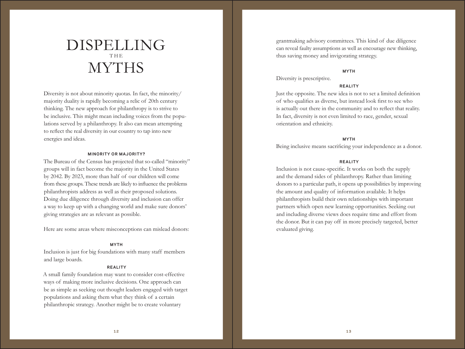## DISPELLING THE MYTHS

Diversity is not about minority quotas. In fact, the minority/ majority duality is rapidly becoming a relic of 20th century thinking. The new approach for philanthropy is to strive to be inclusive. This might mean including voices from the populations served by a philanthropy. It also can mean attempting to reflect the real diversity in our country to tap into new energies and ideas.

#### **MINORITY OR MAJORITY?**

The Bureau of the Census has projected that so-called "minority" groups will in fact become the majority in the United States by 2042. By 2023, more than half of our children will come from these groups. These trends are likely to influence the problems philanthropists address as well as their proposed solutions. Doing due diligence through diversity and inclusion can offer a way to keep up with a changing world and make sure donors' giving strategies are as relevant as possible.

Here are some areas where misconceptions can mislead donors:

#### **MYTH**

Inclusion is just for big foundations with many staff members and large boards.

#### **REALITY**

A small family foundation may want to consider cost-effective ways of making more inclusive decisions. One approach can be as simple as seeking out thought leaders engaged with target populations and asking them what they think of a certain philanthropic strategy. Another might be to create voluntary

grantmaking advisory committees. This kind of due diligence can reveal faulty assumptions as well as encourage new thinking, thus saving money and invigorating strategy.

#### **MYTH**

Diversity is prescriptive.

#### **REALITY**

Just the opposite. The new idea is not to set a limited definition of who qualifies as diverse, but instead look first to see who is actually out there in the community and to reflect that reality. In fact, diversity is not even limited to race, gender, sexual orientation and ethnicity.

#### **MYTH**

Being inclusive means sacrificing your independence as a donor.

#### **REALITY**

Inclusion is not cause-specific. It works on both the supply and the demand sides of philanthropy. Rather than limiting donors to a particular path, it opens up possibilities by improving the amount and quality of information available. It helps philanthropists build their own relationships with important partners which open new learning opportunities. Seeking out and including diverse views does require time and effort from the donor. But it can pay off in more precisely targeted, better evaluated giving.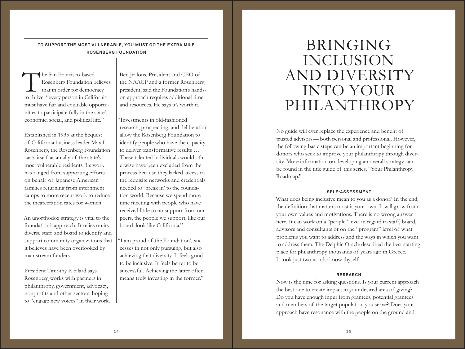### **TO SUPPORT THE MOST VULNERABLE, YOU MUST GO THE EXTRA MILE ROSENBERG FOUNDATION**

The San Francisco-based<br>
Rosenberg Foundation believe<br>
that in order for democracy<br>
to thrive, "every person in California Rosenberg Foundation believes that in order for democracy must have fair and equitable opportunities to participate fully in the state's economic, social, and political life."

Established in 1935 at the bequest of California business leader Max L. Rosenberg, the Rosenberg Foundation casts itself as an ally of the state's most vulnerable residents. Its work has ranged from supporting efforts on behalf of Japanese American families returning from internment camps to more recent work to reduce the incarceration rates for women.

An unorthodox strategy is vital to the foundation's approach. It relies on its diverse staff and board to identify and support community organizations that it believes have been overlooked by mainstream funders.

President Timothy P. Silard says Rosenberg works with partners in philanthropy, government, advocacy, nonprofits and other sectors, hoping to "engage new voices" in their work.

Ben Jealous, President and CEO of the NAACP and a former Rosenberg president, said the Foundation's handson approach requires additional time and resources. He says it's worth it.

"Investments in old-fashioned research, prospecting, and deliberation allow the Rosenberg Foundation to identify people who have the capacity to deliver transformative results … These talented individuals would otherwise have been excluded from the process because they lacked access to the requisite networks and credentials needed to 'break in' to the foundation world. Because we spend more time meeting with people who have received little to no support from our peers, the people we support, like our board, look like California."

"I am proud of the Foundation's successes in not only pursuing, but also achieving that diversity. It feels good to be inclusive. It feels better to be successful. Achieving the latter often means truly investing in the former."

## BRINGING INCLUSION AND DIVERSITY INTO YOUR PHILANTHROPY

No guide will ever replace the experience and benefit of trusted advisors—both personal and professional. However, the following basic steps can be an important beginning for donors who seek to improve your philanthropy through diversity. More information on developing an overall strategy can be found in the title guide of this series, "Your Philanthropy Roadmap."

#### **SELF-ASSESSMENT**

What does being inclusive mean to you as a donor? In the end, the definition that matters most is your own. It will grow from your own values and motivations. There is no wrong answer here. It can work on a "people" level in regard to staff, board, advisors and consultants or on the "program" level of what problems you want to address and the ways in which you want to address them. The Delphic Oracle described the best starting place for philanthropy thousands of years ago in Greece. It took just two words: know thyself.

#### **RESEARCH**

Now is the time for asking questions. Is your current approach the best one to create impact in your desired area of giving? Do you have enough input from grantees, potential grantees and members of the target population you serve? Does your approach have resonance with the people on the ground and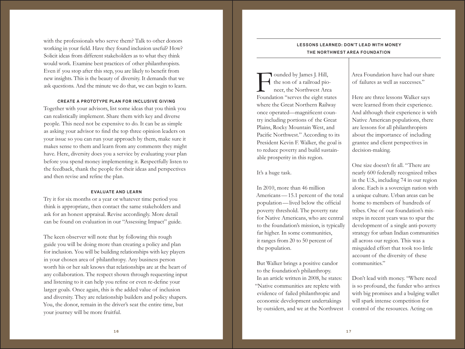with the professionals who serve them? Talk to other donors working in your field. Have they found inclusion useful? How? Solicit ideas from different stakeholders as to what they think would work. Examine best practices of other philanthropists. Even if you stop after this step, you are likely to benefit from new insights. This is the beauty of diversity. It demands that we ask questions. And the minute we do that, we can begin to learn.

#### **CREATE A PROTOTYPE PLAN FOR INCLUSIVE GIVING**

Together with your advisors, list some ideas that you think you can realistically implement. Share them with key and diverse people. This need not be expensive to do. It can be as simple as asking your advisor to find the top three opinion leaders on your issue so you can run your approach by them, make sure it makes sense to them and learn from any comments they might have. Here, diversity does you a service by evaluating your plan before you spend money implementing it. Respectfully listen to the feedback, thank the people for their ideas and perspectives and then revise and refine the plan.

#### **EVALUATE AND LEARN**

Try it for six months or a year or whatever time period you think is appropriate, then contact the same stakeholders and ask for an honest appraisal. Revise accordingly. More detail can be found on evaluation in our "Assessing Impact" guide.

The keen observer will note that by following this rough guide you will be doing more than creating a policy and plan for inclusion. You will be building relationships with key players in your chosen area of philanthropy. Any business person worth his or her salt knows that relationships are at the heart of any collaboration. The respect shown through requesting input and listening to it can help you refine or even re-define your larger goals. Once again, this is the added value of inclusion and diversity. They are relationship builders and policy shapers. You, the donor, remain in the driver's seat the entire time, but your journey will be more fruitful.

### **LESSONS LEARNED: DON'T LEAD WITH MONEY THE NORTHWEST AREA FOUNDATION**

Founded by James J. Hill,<br>the son of a railroad pio-<br>neer, the Northwest Area<br>Foundation "serves the eight states" the son of a railroad pioneer, the Northwest Area where the Great Northern Railway once operated—magnificent country including portions of the Great Plains, Rocky Mountain West, and Pacific Northwest." According to its President Kevin F. Walker, the goal is to reduce poverty and build sustainable prosperity in this region.

It's a huge task.

In 2010, more than 46 million Americans—15.1 percent of the total population—lived below the official poverty threshold. The poverty rate for Native Americans, who are central to the foundation's mission, is typically far higher. In some communities, it ranges from 20 to 50 percent of the population.

But Walker brings a positive candor to the foundation's philanthropy. In an article written in 2008, he states: "Native communities are replete with evidence of failed philanthropic and economic development undertakings by outsiders, and we at the Northwest Area Foundation have had our share of failures as well as successes."

Here are three lessons Walker says were learned from their experience. And although their experience is with Native American populations, there are lessons for all philanthropists about the importance of including grantee and client perspectives in decision-making.

One size doesn't fit all. "There are nearly 600 federally recognized tribes in the U.S., including 74 in our region alone. Each is a sovereign nation with a unique culture. Urban areas can be home to members of hundreds of tribes. One of our foundation's missteps in recent years was to spur the development of a single anti-poverty strategy for urban Indian communities all across our region. This was a misguided effort that took too little account of the diversity of these communities."

Don't lead with money. "Where need is so profound, the funder who arrives with big promises and a bulging wallet will spark intense competition for control of the resources. Acting on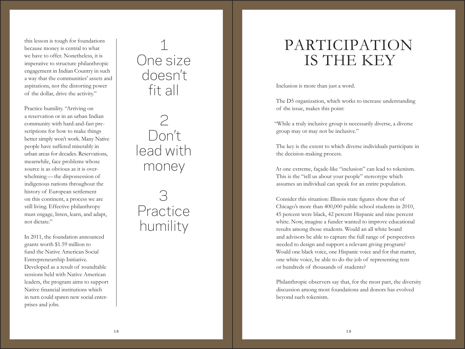this lesson is tough for foundations because money is central to what we have to offer. Nonetheless, it is imperative to structure philanthropic engagement in Indian Country in such a way that the communities' assets and aspirations, not the distorting power of the dollar, drive the activity."

Practice humility. "Arriving on a reservation or in an urban Indian community with hard-and-fast pre scriptions for how to make things better simply won't work. Many Native people have suffered miserably in urban areas for decades. Reservations, meanwhile, face problems whose source is as obvious as it is over whelming —the dispossession of indigenous nations throughout the history of European settlement on this continent, a process we are still living. Effective philanthropy must engage, listen, learn, and adapt, not dictate."

In 2011, the foundation announced grants worth \$1.59 million to fund the Native American Social Entrepreneurship Initiative. Developed as a result of roundtable sessions held with Native American leaders, the program aims to support Native financial institutions which in turn could spawn new social enter prises and jobs.

## 1 One size doesn't fit all

2 Don't lead with money

# $\left( \begin{smallmatrix} 1 \\ 1 \end{smallmatrix} \right)$ Practice humility

# PARTICIPATION IS THE KEY

Inclusion is more than just a word.

The D5 organization, which works to increase understanding of the issue, makes this point:

"While a truly inclusive group is necessarily diverse, a diverse group may or may not be inclusive."

The key is the extent to which diverse individuals participate in the decision-making process.

At one extreme, façade-like "inclusion" can lead to tokenism. This is the "tell us about your people" stereotype which assumes an individual can speak for an entire population.

Consider this situation: Illinois state figures show that of Chicago's more than 400,000 public school students in 2010, 45 percent were black, 42 percent Hispanic and nine percent white. Now, imagine a funder wanted to improve educational results among those students. Would an all white board and advisors be able to capture the full range of perspectives needed to design and support a relevant giving program? Would one black voice, one Hispanic voice and for that matter, one white voice, be able to do the job of representing tens or hundreds of thousands of students?

Philanthropic observers say that, for the most part, the diversity discussion among most foundations and donors has evolved beyond such tokenism.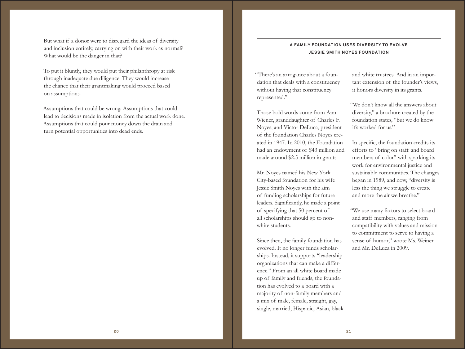But what if a donor were to disregard the ideas of diversity and inclusion entirely, carrying on with their work as normal? What would be the danger in that?

To put it bluntly, they would put their philanthropy at risk through inadequate due diligence. They would increase the chance that their grantmaking would proceed based on assumptions.

Assumptions that could be wrong. Assumptions that could lead to decisions made in isolation from the actual work done. Assumptions that could pour money down the drain and turn potential opportunities into dead ends.

### **A FAMILY FOUNDATION USES DIVERSITY TO EVOLVE JESSIE SMITH NOYES FOUNDATION**

"There's an arrogance about a foundation that deals with a constituency without having that constituency represented."

Those bold words come from Ann Wiener, granddaughter of Charles F. Noyes, and Victor DeLuca, president of the foundation Charles Noyes created in 1947. In 2010, the Foundation had an endowment of \$43 million and made around \$2.5 million in grants.

Mr. Noyes named his New York City-based foundation for his wife Jessie Smith Noyes with the aim of funding scholarships for future leaders. Significantly, he made a point of specifying that 50 percent of all scholarships should go to nonwhite students.

Since then, the family foundation has evolved. It no longer funds scholarships. Instead, it supports "leadership organizations that can make a difference." From an all white board made up of family and friends, the foundation has evolved to a board with a majority of non-family members and a mix of male, female, straight, gay, single, married, Hispanic, Asian, black and white trustees. And in an important extension of the founder's views, it honors diversity in its grants.

"We don't know all the answers about diversity," a brochure created by the foundation states, "but we do know it's worked for us."

In specific, the foundation credits its efforts to "bring on staff and board members of color" with sparking its work for environmental justice and sustainable communities. The changes began in 1989, and now, "diversity is less the thing we struggle to create and more the air we breathe."

"We use many factors to select board and staff members, ranging from compatibility with values and mission to commitment to serve to having a sense of humor," wrote Ms. Weiner and Mr. DeLuca in 2009.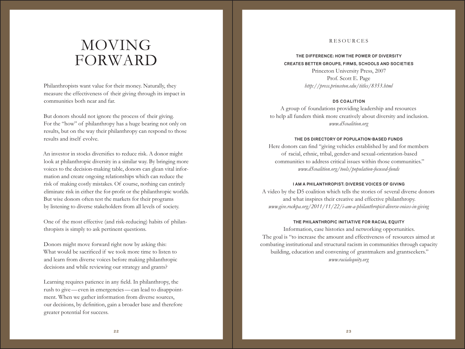### RESOURCES

## **THE DIFFERENCE: HOW THE POWER OF DIVERSITY CREATES BETTER GROUPS, FIRMS, SCHOOLS AND SOCIETIES**

Princeton University Press, 2007 Prof. Scott E. Page *http://press.princeton.edu/titles/8353.html*

#### **D5 COALITION**

A group of foundations providing leadership and resources to help all funders think more creatively about diversity and inclusion. *www.d5coalition.org*

#### **THE D5 DIRECTORY OF POPULATION-BASED FUNDS**

Here donors can find "giving vehicles established by and for members of racial, ethnic, tribal, gender-and sexual-orientation-based communities to address critical issues within those communities." *www.d5coalition.org/tools/population-focused-funds*

#### **I AM A PHILANTHROPIST: DIVERSE VOICES OF GIVING**

A video by the D5 coalition which tells the stories of several diverse donors and what inspires their creative and effective philanthropy. *www.give.rockpa.org/2011/11/22/i-am-a-philanthropist-diverse-voices-in-giving*

#### **THE PHILANTHROPIC INITIATIVE FOR RACIAL EQUITY**

Information, case histories and networking opportunities. The goal is "to increase the amount and effectiveness of resources aimed at combating institutional and structural racism in communities through capacity building, education and convening of grantmakers and grantseekers." *www.racialequity.org*

## MOVING FORWARD

Philanthropists want value for their money. Naturally, they measure the effectiveness of their giving through its impact in communities both near and far.

But donors should not ignore the process of their giving. For the "how" of philanthropy has a huge bearing not only on results, but on the way their philanthropy can respond to those results and itself evolve.

An investor in stocks diversifies to reduce risk. A donor might look at philanthropic diversity in a similar way. By bringing more voices to the decision-making table, donors can glean vital information and create ongoing relationships which can reduce the risk of making costly mistakes. Of course, nothing can entirely eliminate risk in either the for-profit or the philanthropic worlds. But wise donors often test the markets for their programs by listening to diverse stakeholders from all levels of society.

One of the most effective (and risk-reducing) habits of philanthropists is simply to ask pertinent questions.

Donors might move forward right now by asking this: What would be sacrificed if we took more time to listen to and learn from diverse voices before making philanthropic decisions and while reviewing our strategy and grants?

Learning requires patience in any field. In philanthropy, the rush to give—even in emergencies—can lead to disappointment. When we gather information from diverse sources, our decisions, by definition, gain a broader base and therefore greater potential for success.